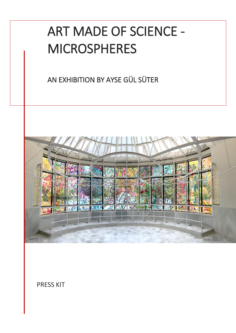# ART MADE OF SCIENCE - MICROSPHERES

AN EXHIBITION BY AYSE GÜL SÜTER



PRESS KIT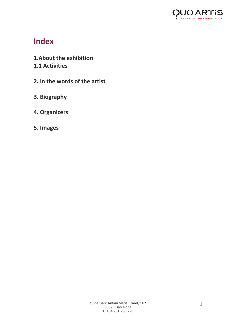

# **Index**

- **1.About the exhibition 1.1 Activities**
- **2. In the words of the artist**
- **3. Biography**
- **4. Organizers**
- **5. Images**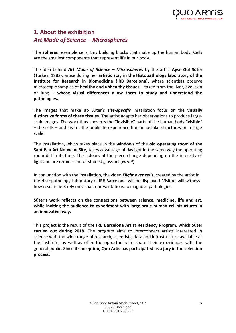

# **1. About the exhibition** *Art Made of Science – Microspheres*

The **spheres** resemble cells, tiny building blocks that make up the human body. Cells are the smallest components that represent life in our body.

The idea behind *Art Made of Science – Microspheres* by the artist **Ayse Gül Süter** (Turkey, 1982), arose during her **artistic stay in the Histopathology laboratory of the Institute for Research in Biomedicine (IRB Barcelona)**, where scientists observe microscopic samples of **healthy and unhealthy tissues** – taken from the liver, eye, skin or lung – **whose visual differences allow them to study and understand the pathologies.** 

The images that make up Süter's *site-specific* installation focus on the **visually distinctive forms of these tissues.** The artist adapts her observations to produce largescale images. The work thus converts the **"invisible"** parts of the human body **"visible"** – the cells – and invites the public to experience human cellular structures on a large scale.

The installation, which takes place in the **windows** of the **old operating room of the Sant Pau Art Nouveau Site**, takes advantage of daylight in the same way the operating room did in its time. The colours of the piece change depending on the intensity of light and are reminiscent of stained glass art (*vitrail*).

In conjunction with the installation, the video *Flight over cells*, created by the artist in the Histopathology Laboratory of IRB Barcelona, will be displayed. Visitors will witness how researchers rely on visual representations to diagnose pathologies.

**Süter's work reflects on the connections between science, medicine, life and art, while inviting the audience to experiment with large-scale human cell structures in an innovative way.** 

This project is the result of the **IRB Barcelona Artist Residency Program, which Süter carried out during 2018.** The program aims to interconnect artists interested in science with the wide range of research, scientists, data and infrastructure available at the Institute, as well as offer the opportunity to share their experiences with the general public. **Since its inception, Quo Artis has participated as a jury in the selection process.**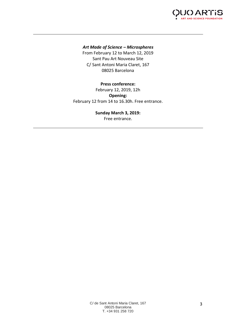

## *Art Made of Science – Microspheres*

From February 12 to March 12, 2019 Sant Pau Art Nouveau Site C/ Sant Antoni Maria Claret, 167 08025 Barcelona

## **Press conference:** February 12, 2019, 12h **Opening:** February 12 from 14 to 16.30h. Free entrance.

## **Sunday March 3, 2019:**

Free entrance.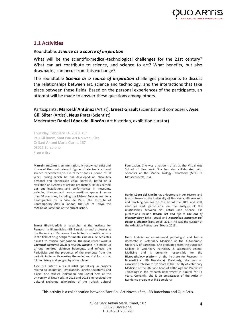## **1.1 Activities**

### Roundtable: *Science as a source of inspiration*

What will be the scientific-medical-technological challenges for the 21st century? What can art contribute to science, and science to art? What benefits, but also drawbacks, can occur from this exchange?

The roundtable *Science as a source of inspiration* challenges participants to discuss the relationships between art, science and technology, and the interactions that take place between these fields. Based on the personal experiences of the participants, an attempt will be made to answer these questions among others.

# Participants: **Marcel.lí Antúnez** (Artist), **Ernest Girault** (Scientist and composer), **Ayse Gül Süter** (Artist), **Neus Prats** (Scientist)

Moderator: **Daniel López del Rincón** (Art historian, exhibition curator)

Thursday, February 14, 2019, 19h Pau Gil Room, Sant Pau Art Nouveau Site C/ Sant Antoni Maria Claret, 167 08025 Barcelona Free entry

**Marcel·lí Antúnez** is an internationally renowned artist and is one of the most relevant figures of electronic art and science experimenta,on. His career spans a period of 30 years, during which he has developed an absolutely personal and iconoclastic visual universe, based on a reflection on systems of artistic production. He has carried out out installations and performances in museums, galleries, theaters and non-conventional spaces in more than 40 countries, including the Maison Europeanne de la Photographie de la Ville de Paris, the Institute of Contemporary Arts in London, the DAF of Tokyo, the MACBA of Barcelona or the ZDB of Lisbon.

**Ernest Giralt-Lledó** is a researcher at the Institute for Research in Biomedicine (IRB Barcelona) and professor at the University of Barcelona. Parallel to his scientific activity in the field of drug design for mental illnesses, he dedicates himself to musical composition. His most recent work is *Chemical Elements 2018: A Musical Mosaic*. It is made up of one hundred eighteen fragments, and reflects the Periodicity and the proper,es of the elements from the periodic table, while evoking the varied musical forms that fill the history and geography of our planet.

Ayse Gül Süter is a visual artist specialising in projects related to animation, installations, kinetic sculptures and bioart. She studied Animation and Digital Arts at the University of New York. In 2016 and 2018 she received the Cultural Exchange Scholarship of the Turkish Cultural

Foundation. She was a resident artist at the Visual Arts School of New York. She has also collaborated with scientists at the Marine Biology Laboratory (MBL) in Massachusetts, USA.

**Daniel López del Rincón** has a doctorate in Art History and is a professor at the University of Barcelona. His research and teaching focuses on the art of the 20th and 21st centuries and, particularly, on the analysis of the relationships between art, nature and science. His publica,ons include *Bioart: Art and life in the era of biotechnology* (Akal, 2015) and *Naturaleza Mutante: Del Bosco al Bioarte* (Sans Soleil, 2017). He was the curator of the exhibition Postnature (Etopia, 2018).

Neus Prats is an experimental pathologist and has a doctorate in Veterinary Medicine at the Autonomous University of Barcelona. She graduated from the European College of Veterinary Pathology & Laboratory Animal Medicine and is currently responsible for the Histopathology platform at the Institute for Research in Biomedicine (IRB Barcelona). Previously, she was an associate professor for 11 years at the Faculty of Veterinary Medicine of the UAB and head of Pathology and Predictive Toxicology in the research department in Almirall for 14 years. Currently, she is an ambassador of the Artist in Residence program at IRB Barcelona.

This activity is a collaboration between Sant Pau Art Noveau Site, IRB Barcelona and Quo Artis.

C/ de Sant Antoni Maria Claret, 167 08025 Barcelona T. +34 931 258 720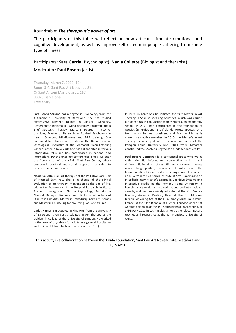#### Roundtable: *The therapeutic power of art*

The participants of this table will reflect on how art can stimulate emotional and cognitive development, as well as improve self-esteem in people suffering from some type of illness.

#### Participants: **Sara García** (Psychologist), **Nadia Collette** (Biologist and therapist)

Moderator: **Paul Rosero** (artist)

Thursday, March 7, 2019, 19h Room 3-4, Sant Pau Art Nouveau Site C/ Sant Antoni Maria Claret, 167 08025 Barcelona Free entry

**Sara García Serrano** has a degree in Psychology from the Autonomous University of Barcelona. She has studied extensively: Master's Degree in Clinical Psychology, Postgraduate Diploma in Psycho-oncology, Postgraduate in Brief Strategic Therapy, Master's Degree in Psychooncology, Master of Research in Applied Psychology in Health Sciences, Mindfulness and NLP training. She continued her studies with a stay at the Department of Oncological Psychiatry at the Memorial Sloan-Kettering Cancer Center in New York. She has collaborated in various informative talks and has participated in national and international Psycho-oncology conferences. She is currently the Coordinator of the Kālida Sant Pau Center, where emotional, practical and social support is provided to people who live with cancer.

**Nadia Collette** is an art-therapist at the Palliative Care Unit of Hospital Sant Pau. She is in charge of the clinical evaluation of art therapy intervention at the end of life, within the framework of the Hospital Research Institute. Academic background: PhD in Psychology; Bachelor in Medical Biology; Bachelor and Diploma of Advanced Studies in Fine Arts; Master in Transdisciplinary Art Therapy and Master in Counseling for mourning, loss and trauma.

**Carles Ramos** is graduated in Fine Arts from the University of Barcelona, then post graduated in Art Therapy at the Goldsmith College of the University of London. He worked in the area of psychiatry for adults in a general hospital as well as in a child mental health center of the (NHS).

In 1997, in Barcelona he initiated the first Master in Art Therapy in Spanish-speaking countries, which was carried out at the UB in conjunction with Metàfora, an art therapy school. In 2001, hee participated in the foundation of Asociación Profesional Española de Arteterapeutas, ATe from which he was president and from which he is currently an active member. In 2010, the Master's in Art Therapy became part of the educational offer of the Pompeu Fabra University until 2014 when Metàfora constituted the Master's Degree as an independent entity.

**Paul Rosero Contreras** is a conceptual artist who works with scientific information, speculative realism and different fictional narratives. His work explores themes related to geopolitics, environmental problems and the human relationship with extreme ecosystems. He received an MFA from the California Institute of Arts - CalArts and an Interdisciplinary Master's Degree in Cognitive Systems and Interactive Media at the Pompeu Fabra University in Barcelona. His work has received national and international awards, and has been widely exhibited at the 57th Venice Biennial, Antarctic Pavilion, Italy, at the 5th Moscow Biennial of Young Art, at the Quai Branly Museum in Paris, France, at the 11th Biennial of Cuenca, Ecuador, at the 1st Antarctic Biennial, at the 1st. South Biennial in Argentina, at SIGGRAPH 2017 in Los Angeles, among other places. Rosero teaches and researches at the San Francisco University of Quito.

This activity is a collaboration between the Kàlida Foundation, Sant Pau Art Noveau Site, Metàfora and Quo Artis.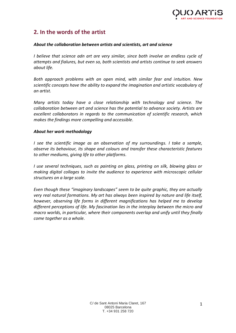# **2. In the words of the artist**

## *About the collaboration between artists and scientists, art and science*

*I believe that science adn art are very similar, since both involve an endless cycle of attempts and fialures, but even so, both scientists and artists continue to seek answers about life.* 

*Both approach problems with an open mind, with similar fear and intuition. New scientific concepts have the ability to expand the imagination and artistic vocabulary of an artist.* 

*Many artists today have a close relationship with technology and science. The collaboration between art and science has the potential to advance society. Artists are excellent collaborators in regards to the communication of scientific research, which makes the findings more compelling and accessible.*

## *About her work methodology*

*I* see the scientific image as an observation of my surroundings. I take a sample, *observe its behaviour, its shape and colours and transfer these characteristic features to other mediums, giving life to other platforms.* 

*I use several techniques, such as painting on glass, printing on silk, blowing glass or making digital collages to invite the audience to experience with microscopic cellular structures on a large scale.*

*Even though these "imaginary landscapes" seem to be quite graphic, they are actually very real natural formations. My art has always been inspired by nature and life itself, however, observing life forms in different magnifications has helped me to develop different perceptions of life. My fascination lies in the interplay between the micro and macro worlds, in particular, where their components overlap and unify until they finally come together as a whole.*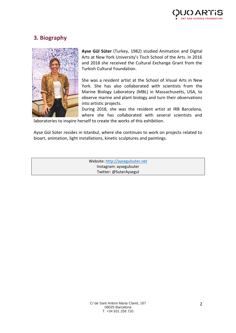# **3. Biography**



**Ayse Gül Süter** (Turkey, 1982) studied Animation and Digital Arts at New York University's Tisch School of the Arts. In 2016 and 2018 she received the Cultural Exchange Grant from the Turkish Cultural Foundation.

She was a resident artist at the School of Visual Arts in New York. She has also collaborated with scientists from the Marine Biology Laboratory (MBL) in Massachusetts, USA, to observe marine and plant biology and turn their observations into artistic projects.

During 2018, she was the resident artist at IRB Barcelona, where she has collaborated with several scientists and

laboratories to inspire herself to create the works of this exhibition.

Ayse Gül Süter resides in Istanbul, where she continues to work on projects related to bioart, animation, light installations, kinetic sculptures and paintings.

> Website[: http://aysegulsuter.net](http://aysegulsuter.net/) Instagram: aysegulsuter Twitter: @SuterAysegul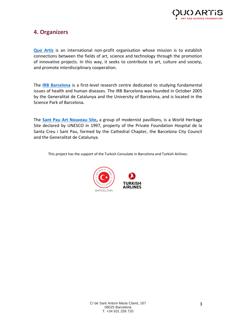

# **4. Organizers**

**[Quo Artis](http://quoartis.org/?lang=es)** is an international non-profit organisation whose mission is to establish connections between the fields of art, science and technology through the promotion of innovative projects. In this way, it seeks to contribute to art, culture and society, and promote interdisciplinary cooperation.

The **[IRB Barcelona](https://www.irbbarcelona.org/)** is a first-level research centre dedicated to studying fundamental issues of health and human diseases. The IRB Barcelona was founded in October 2005 by the Generalitat de Catalunya and the University of Barcelona, and is located in the Science Park of Barcelona.

The **[Sant Pau Art Nouveau Site,](http://www.santpaubarcelona.org/)** a group of modernist pavillions, is a World Heritage Site declared by UNESCO in 1997, property of the Private Foundation Hospital de la Santa Creu i Sant Pau, formed by the Cathedral Chapter, the Barcelona City Council and the Generalitat de Catalunya.

This project has the support of the Turkish Consulate in Barcelona and Turkish Airlines: